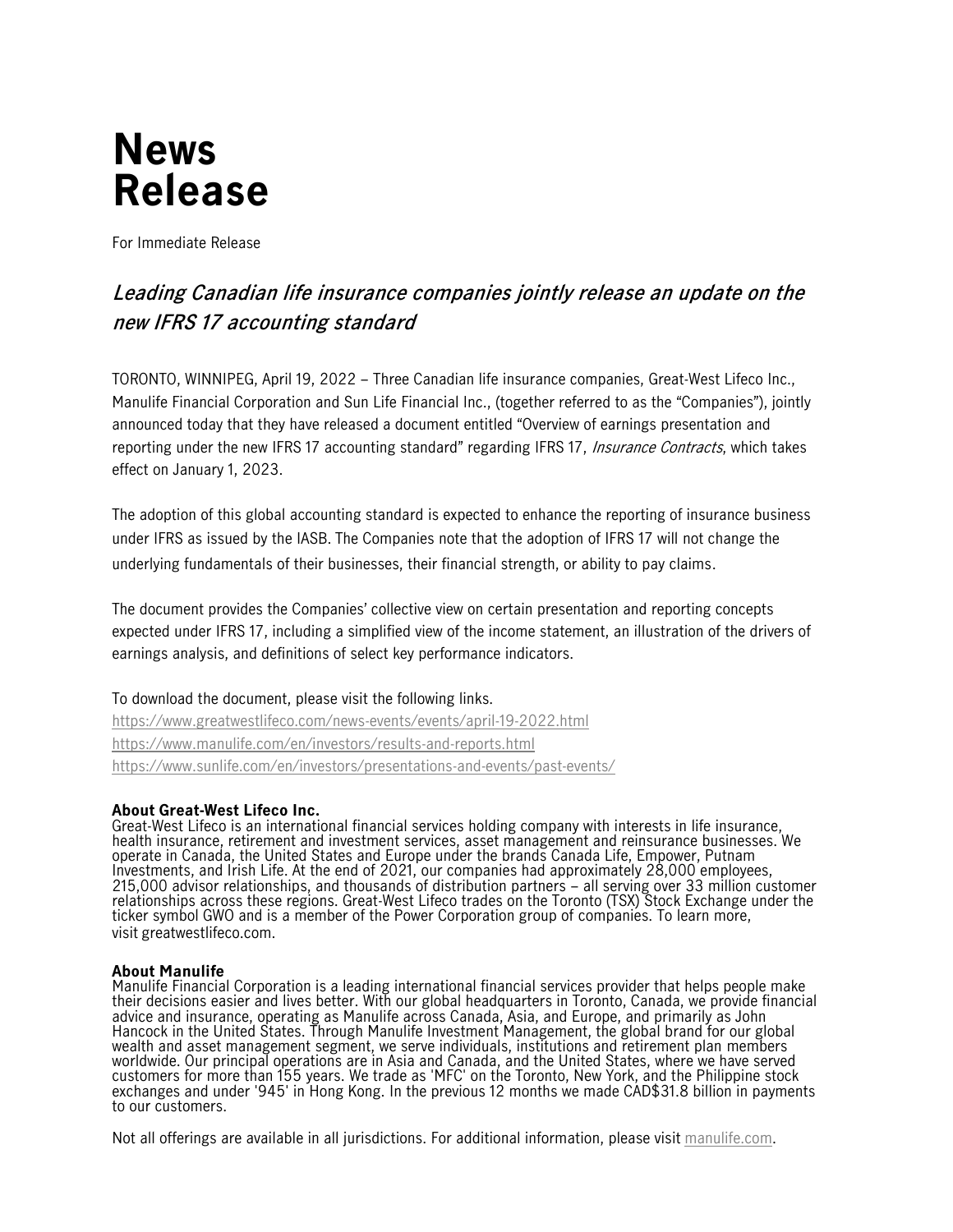# **News Release**

For Immediate Release

# **Leading Canadian life insurance companies jointly release an update on the new IFRS 17 accounting standard**

TORONTO, WINNIPEG, April 19, 2022 – Three Canadian life insurance companies, Great-West Lifeco Inc., Manulife Financial Corporation and Sun Life Financial Inc., (together referred to as the "Companies"), jointly announced today that they have released a document entitled "Overview of earnings presentation and reporting under the new IFRS 17 accounting standard" regarding IFRS 17, Insurance Contracts, which takes effect on January 1, 2023.

The adoption of this global accounting standard is expected to enhance the reporting of insurance business under IFRS as issued by the IASB. The Companies note that the adoption of IFRS 17 will not change the underlying fundamentals of their businesses, their financial strength, or ability to pay claims.

The document provides the Companies' collective view on certain presentation and reporting concepts expected under IFRS 17, including a simplified view of the income statement, an illustration of the drivers of earnings analysis, and definitions of select key performance indicators.

#### To download the document, please visit the following links.

<https://www.greatwestlifeco.com/news-events/events/april-19-2022.html> <https://www.manulife.com/en/investors/results-and-reports.html> <https://www.sunlife.com/en/investors/presentations-and-events/past-events/>

## **About Great-West Lifeco Inc.**

Great-West Lifeco is an international financial services holding company with interests in life insurance, health insurance, retirement and investment services, asset management and reinsurance businesses. We operate in Canada, the United States and Europe under the brands Canada Life, Empower, Putnam Investments, and Irish Life. At the end of 2021, our companies had approximately 28,000 employees, 215,000 advisor relationships, and thousands of distribution partners – all serving over 33 million customer relationships across these regions. Great-West Lifeco trades on the Toronto (TSX) Stock Exchange under the ticker symbol GWO and is a member of the Power Corporation group of companies. To learn more, visit [greatwestlifeco.com.](http://www.greatwestlifeco.com/)

#### **About Manulife**

Manulife Financial Corporation is a leading international financial services provider that helps people make their decisions easier and lives better. With our global headquarters in Toronto, Canada, we provide financial advice and insurance, operating as Manulife across Canada, Asia, and Europe, and primarily as John Hancock in the United States. Through Manulife Investment Management, the global brand for our global wealth and asset management segment, we serve individuals, institutions and retirement plan members worldwide. Our principal operations are in Asia and Canada, and the United States, where we have served customers for more than 155 years. We trade as 'MFC' on the Toronto, New York, and the Philippine stock exchanges and under '945' in Hong Kong. In the previous 12 months we made CAD\$31.8 billion in payments to our customers.

Not all offerings are available in all jurisdictions. For additional information, please visit [manulife.com.](https://www.manulife.com/)